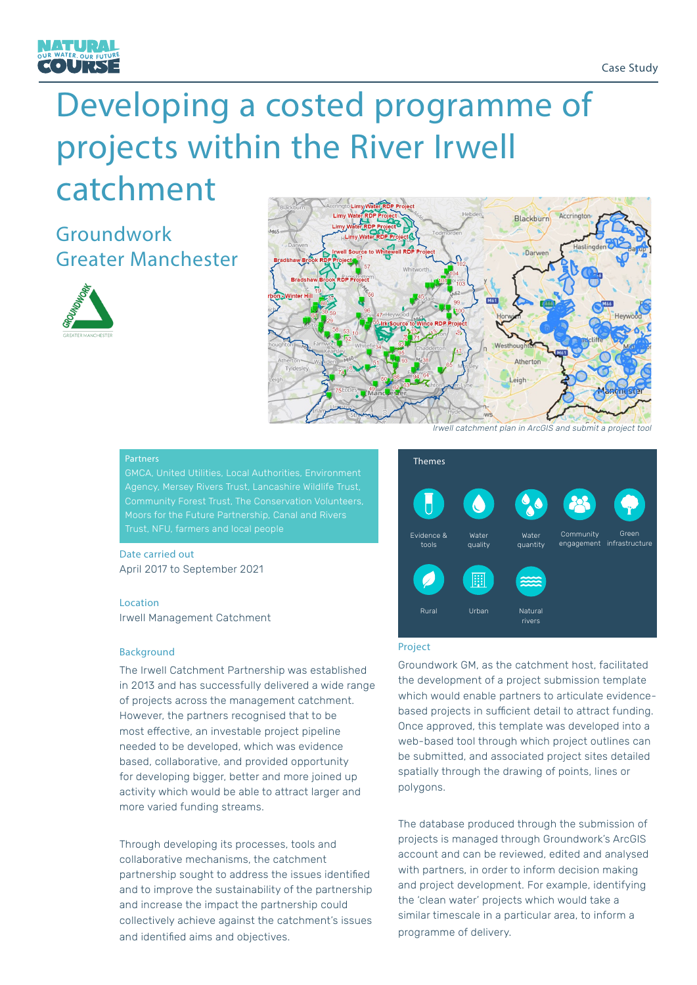

# Developing a costed programme of projects within the River Irwell catchment

# Groundwork Greater Manchester





# **Partners**

GMCA, United Utilities, Local Authorities, Environment Agency, Mersey Rivers Trust, Lancashire Wildlife Trust, Moors for the Future Partnership, Canal and Rivers Trust, NFU, farmers and local people

# Date carried out April 2017 to September 2021

# **Location**

Irwell Management Catchment

### **Background**

The Irwell Catchment Partnership was established in 2013 and has successfully delivered a wide range of projects across the management catchment. However, the partners recognised that to be most effective, an investable project pipeline needed to be developed, which was evidence based, collaborative, and provided opportunity for developing bigger, better and more joined up activity which would be able to attract larger and more varied funding streams.

Through developing its processes, tools and collaborative mechanisms, the catchment partnership sought to address the issues identified and to improve the sustainability of the partnership and increase the impact the partnership could collectively achieve against the catchment's issues and identified aims and objectives.



#### Project

Groundwork GM, as the catchment host, facilitated the development of a project submission template which would enable partners to articulate evidencebased projects in sufficient detail to attract funding. Once approved, this template was developed into a web-based tool through which project outlines can be submitted, and associated project sites detailed spatially through the drawing of points, lines or polygons.

The database produced through the submission of projects is managed through Groundwork's ArcGIS account and can be reviewed, edited and analysed with partners, in order to inform decision making and project development. For example, identifying the 'clean water' projects which would take a similar timescale in a particular area, to inform a programme of delivery.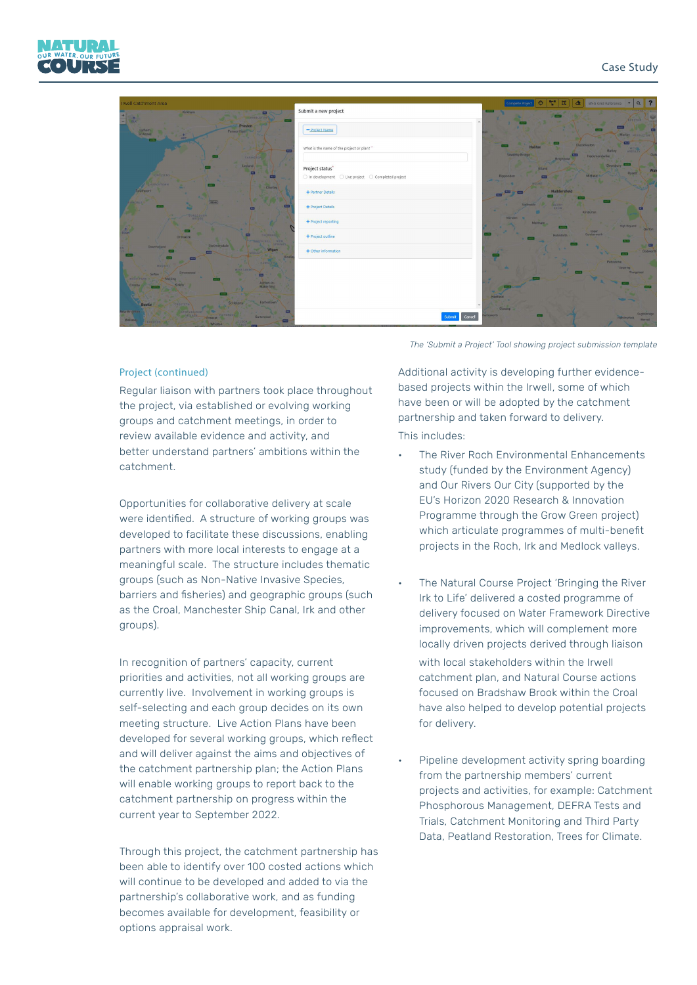



## Project (continued)

Regular liaison with partners took place throughout the project, via established or evolving working groups and catchment meetings, in order to review available evidence and activity, and better understand partners' ambitions within the catchment.

Opportunities for collaborative delivery at scale were identified. A structure of working groups was developed to facilitate these discussions, enabling partners with more local interests to engage at a meaningful scale. The structure includes thematic groups (such as Non-Native Invasive Species, barriers and fisheries) and geographic groups (such as the Croal, Manchester Ship Canal, Irk and other groups).

In recognition of partners' capacity, current priorities and activities, not all working groups are currently live. Involvement in working groups is self-selecting and each group decides on its own meeting structure. Live Action Plans have been developed for several working groups, which reflect and will deliver against the aims and objectives of the catchment partnership plan; the Action Plans will enable working groups to report back to the catchment partnership on progress within the current year to September 2022.

Through this project, the catchment partnership has been able to identify over 100 costed actions which will continue to be developed and added to via the partnership's collaborative work, and as funding becomes available for development, feasibility or options appraisal work.

The 'Submit a Project' Tool showing project submission template

Additional activity is developing further evidencebased projects within the Irwell, some of which have been or will be adopted by the catchment partnership and taken forward to delivery.

This includes:

- The River Roch Environmental Enhancements study (funded by the Environment Agency) and Our Rivers Our City (supported by the EU's Horizon 2020 Research & Innovation Programme through the Grow Green project) which articulate programmes of multi-benefit projects in the Roch, Irk and Medlock valleys.
- The Natural Course Project 'Bringing the River Irk to Life' delivered a costed programme of delivery focused on Water Framework Directive improvements, which will complement more locally driven projects derived through liaison with local stakeholders within the Irwell catchment plan, and Natural Course actions focused on Bradshaw Brook within the Croal have also helped to develop potential projects for delivery.
	- Pipeline development activity spring boarding from the partnership members' current projects and activities, for example: Catchment Phosphorous Management, DEFRA Tests and Trials, Catchment Monitoring and Third Party Data, Peatland Restoration, Trees for Climate.